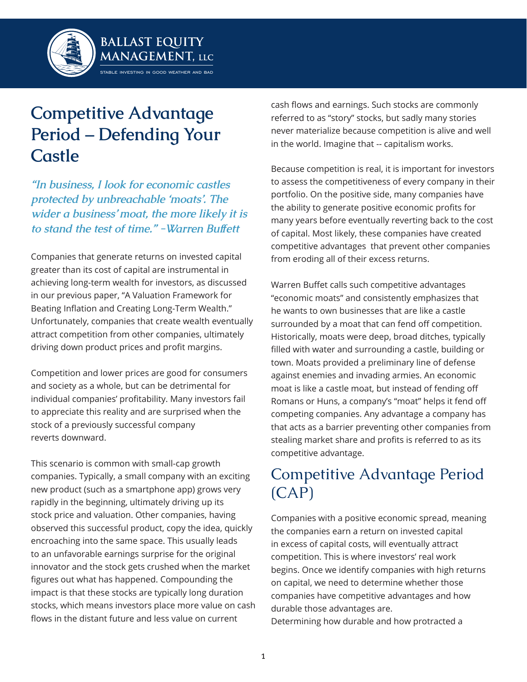

# **Competitive Advantage Period – Defending Your Castle**

*"In business, I look for economic castles protected by unbreachable 'moats'. The wider a business' moat, the more likely it is to stand the test of time." -Warren Buffett*

Companies that generate returns on invested capital greater than its cost of capital are instrumental in achieving long-term wealth for investors, as discussed in our previous paper, "A Valuation Framework for Beating Inflation and Creating Long-Term Wealth." Unfortunately, companies that create wealth eventually attract competition from other companies, ultimately driving down product prices and profit margins.

Competition and lower prices are good for consumers and society as a whole, but can be detrimental for individual companies' profitability. Many investors fail to appreciate this reality and are surprised when the stock of a previously successful company reverts downward.

This scenario is common with small-cap growth companies. Typically, a small company with an exciting new product (such as a smartphone app) grows very rapidly in the beginning, ultimately driving up its stock price and valuation. Other companies, having observed this successful product, copy the idea, quickly encroaching into the same space. This usually leads to an unfavorable earnings surprise for the original innovator and the stock gets crushed when the market figures out what has happened. Compounding the impact is that these stocks are typically long duration stocks, which means investors place more value on cash flows in the distant future and less value on current

cash flows and earnings. Such stocks are commonly referred to as "story" stocks, but sadly many stories never materialize because competition is alive and well in the world. Imagine that -- capitalism works.

Because competition is real, it is important for investors to assess the competitiveness of every company in their portfolio. On the positive side, many companies have the ability to generate positive economic profits for many years before eventually reverting back to the cost of capital. Most likely, these companies have created competitive advantages that prevent other companies from eroding all of their excess returns.

Warren Buffet calls such competitive advantages "economic moats" and consistently emphasizes that he wants to own businesses that are like a castle surrounded by a moat that can fend off competition. Historically, moats were deep, broad ditches, typically filled with water and surrounding a castle, building or town. Moats provided a preliminary line of defense against enemies and invading armies. An economic moat is like a castle moat, but instead of fending off Romans or Huns, a company's "moat" helps it fend off competing companies. Any advantage a company has that acts as a barrier preventing other companies from stealing market share and profits is referred to as its competitive advantage.

## Competitive Advantage Period (CAP)

Companies with a positive economic spread, meaning the companies earn a return on invested capital in excess of capital costs, will eventually attract competition. This is where investors' real work begins. Once we identify companies with high returns on capital, we need to determine whether those companies have competitive advantages and how durable those advantages are. Determining how durable and how protracted a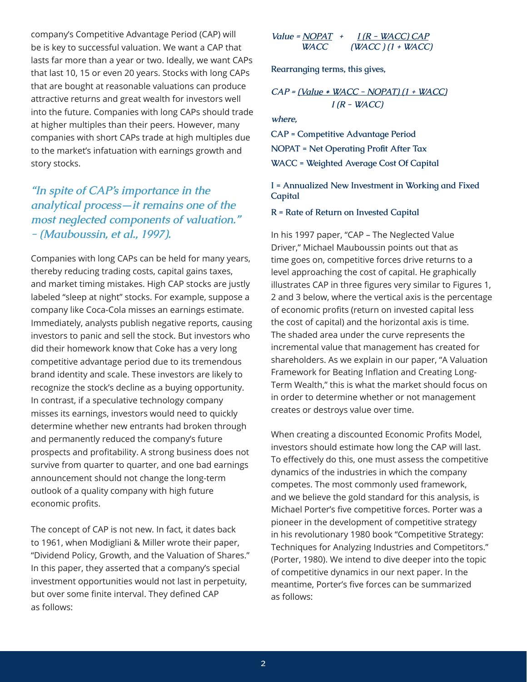company's Competitive Advantage Period (CAP) will be is key to successful valuation. We want a CAP that lasts far more than a year or two. Ideally, we want CAPs that last 10, 15 or even 20 years. Stocks with long CAPs that are bought at reasonable valuations can produce attractive returns and great wealth for investors well into the future. Companies with long CAPs should trade at higher multiples than their peers. However, many companies with short CAPs trade at high multiples due to the market's infatuation with earnings growth and story stocks.

### *"In spite of CAP's importance in the analytical process—it remains one of the most neglected components of valuation." - (Mauboussin, et al., 1997).*

Companies with long CAPs can be held for many years, thereby reducing trading costs, capital gains taxes, and market timing mistakes. High CAP stocks are justly labeled "sleep at night" stocks. For example, suppose a company like Coca-Cola misses an earnings estimate. Immediately, analysts publish negative reports, causing investors to panic and sell the stock. But investors who did their homework know that Coke has a very long competitive advantage period due to its tremendous brand identity and scale. These investors are likely to recognize the stock's decline as a buying opportunity. In contrast, if a speculative technology company misses its earnings, investors would need to quickly determine whether new entrants had broken through and permanently reduced the company's future prospects and profitability. A strong business does not survive from quarter to quarter, and one bad earnings announcement should not change the long-term outlook of a quality company with high future economic profits.

The concept of CAP is not new. In fact, it dates back to 1961, when Modigliani & Miller wrote their paper, "Dividend Policy, Growth, and the Valuation of Shares." In this paper, they asserted that a company's special investment opportunities would not last in perpetuity, but over some finite interval. They defined CAP as follows:

Value = 
$$
\frac{NOPAT}{V}
$$
 +  $\frac{I(R - WACC)CAP}{(WACC) (1 + WACC)}$ 

**Rearranging terms, this gives,**

$$
CAP = (Value * WACC - NOPAT) (1 + WACC)
$$
  
I (R - WACC)

*where,*

**CAP = Competitive Advantage Period NOPAT = Net Operating Profit After Tax WACC = Weighted Average Cost Of Capital**

**I = Annualized New Investment in Working and Fixed Capital**

**R = Rate of Return on Invested Capital**

In his 1997 paper, "CAP – The Neglected Value Driver," Michael Mauboussin points out that as time goes on, competitive forces drive returns to a level approaching the cost of capital. He graphically illustrates CAP in three figures very similar to Figures 1, 2 and 3 below, where the vertical axis is the percentage of economic profits (return on invested capital less the cost of capital) and the horizontal axis is time. The shaded area under the curve represents the incremental value that management has created for shareholders. As we explain in our paper, "A Valuation Framework for Beating Inflation and Creating Long-Term Wealth," this is what the market should focus on in order to determine whether or not management creates or destroys value over time.

When creating a discounted Economic Profits Model, investors should estimate how long the CAP will last. To effectively do this, one must assess the competitive dynamics of the industries in which the company competes. The most commonly used framework, and we believe the gold standard for this analysis, is Michael Porter's five competitive forces. Porter was a pioneer in the development of competitive strategy in his revolutionary 1980 book "Competitive Strategy: Techniques for Analyzing Industries and Competitors." (Porter, 1980). We intend to dive deeper into the topic of competitive dynamics in our next paper. In the meantime, Porter's five forces can be summarized as follows: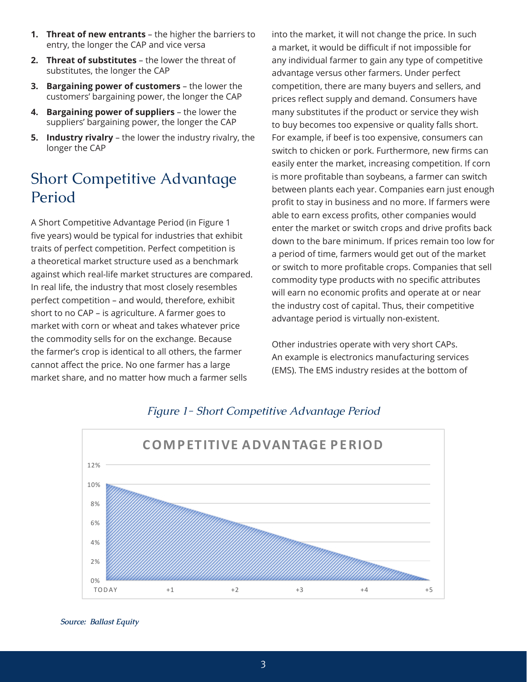- **1. Threat of new entrants** the higher the barriers to entry, the longer the CAP and vice versa
- **2. Threat of substitutes**  the lower the threat of substitutes, the longer the CAP
- **3. Bargaining power of customers**  the lower the customers' bargaining power, the longer the CAP
- **4. Bargaining power of suppliers** the lower the suppliers' bargaining power, the longer the CAP
- **5. Industry rivalry**  the lower the industry rivalry, the longer the CAP

### Short Competitive Advantage Period

A Short Competitive Advantage Period (in Figure 1 five years) would be typical for industries that exhibit traits of perfect competition. Perfect competition is a theoretical market structure used as a benchmark against which real-life market structures are compared. In real life, the industry that most closely resembles perfect competition – and would, therefore, exhibit short to no CAP – is agriculture. A farmer goes to market with corn or wheat and takes whatever price the commodity sells for on the exchange. Because the farmer's crop is identical to all others, the farmer cannot affect the price. No one farmer has a large market share, and no matter how much a farmer sells

into the market, it will not change the price. In such a market, it would be difficult if not impossible for any individual farmer to gain any type of competitive advantage versus other farmers. Under perfect competition, there are many buyers and sellers, and prices reflect supply and demand. Consumers have many substitutes if the product or service they wish to buy becomes too expensive or quality falls short. For example, if beef is too expensive, consumers can switch to chicken or pork. Furthermore, new firms can easily enter the market, increasing competition. If corn is more profitable than soybeans, a farmer can switch between plants each year. Companies earn just enough profit to stay in business and no more. If farmers were able to earn excess profits, other companies would enter the market or switch crops and drive profits back down to the bare minimum. If prices remain too low for a period of time, farmers would get out of the market or switch to more profitable crops. Companies that sell commodity type products with no specific attributes will earn no economic profits and operate at or near the industry cost of capital. Thus, their competitive advantage period is virtually non-existent.

Other industries operate with very short CAPs. An example is electronics manufacturing services (EMS). The EMS industry resides at the bottom of



### *Figure 1- Short Competitive Advantage Period*

*Source: Ballast Equity*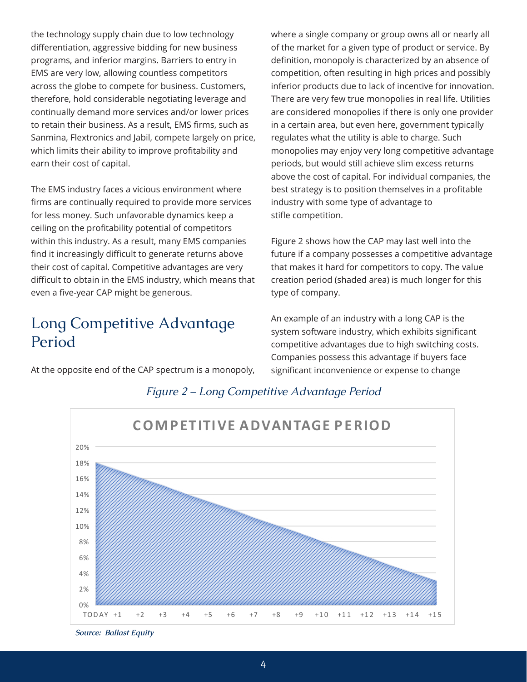the technology supply chain due to low technology differentiation, aggressive bidding for new business programs, and inferior margins. Barriers to entry in EMS are very low, allowing countless competitors across the globe to compete for business. Customers, therefore, hold considerable negotiating leverage and continually demand more services and/or lower prices to retain their business. As a result, EMS firms, such as Sanmina, Flextronics and Jabil, compete largely on price, which limits their ability to improve profitability and earn their cost of capital.

The EMS industry faces a vicious environment where firms are continually required to provide more services for less money. Such unfavorable dynamics keep a ceiling on the profitability potential of competitors within this industry. As a result, many EMS companies find it increasingly difficult to generate returns above their cost of capital. Competitive advantages are very difficult to obtain in the EMS industry, which means that even a five-year CAP might be generous.

### Long Competitive Advantage Period

At the opposite end of the CAP spectrum is a monopoly,

where a single company or group owns all or nearly all of the market for a given type of product or service. By definition, monopoly is characterized by an absence of competition, often resulting in high prices and possibly inferior products due to lack of incentive for innovation. There are very few true monopolies in real life. Utilities are considered monopolies if there is only one provider in a certain area, but even here, government typically regulates what the utility is able to charge. Such monopolies may enjoy very long competitive advantage periods, but would still achieve slim excess returns above the cost of capital. For individual companies, the best strategy is to position themselves in a profitable industry with some type of advantage to stifle competition.

Figure 2 shows how the CAP may last well into the future if a company possesses a competitive advantage that makes it hard for competitors to copy. The value creation period (shaded area) is much longer for this type of company.

An example of an industry with a long CAP is the system software industry, which exhibits significant competitive advantages due to high switching costs. Companies possess this advantage if buyers face significant inconvenience or expense to change



#### *Figure 2 – Long Competitive Advantage Period*

*Source: Ballast Equity*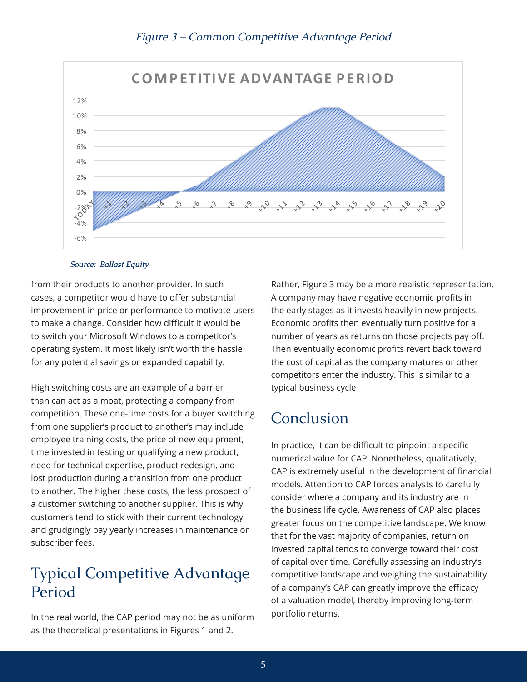

#### *Figure 3 – Common Competitive Advantage Period*

#### *Source: Ballast Equity*

from their products to another provider. In such cases, a competitor would have to offer substantial improvement in price or performance to motivate users to make a change. Consider how difficult it would be to switch your Microsoft Windows to a competitor's operating system. It most likely isn't worth the hassle for any potential savings or expanded capability.

High switching costs are an example of a barrier than can act as a moat, protecting a company from competition. These one-time costs for a buyer switching from one supplier's product to another's may include employee training costs, the price of new equipment, time invested in testing or qualifying a new product, need for technical expertise, product redesign, and lost production during a transition from one product to another. The higher these costs, the less prospect of a customer switching to another supplier. This is why customers tend to stick with their current technology and grudgingly pay yearly increases in maintenance or subscriber fees.

### Typical Competitive Advantage Period

In the real world, the CAP period may not be as uniform as the theoretical presentations in Figures 1 and 2.

Rather, Figure 3 may be a more realistic representation. A company may have negative economic profits in the early stages as it invests heavily in new projects. Economic profits then eventually turn positive for a number of years as returns on those projects pay off. Then eventually economic profits revert back toward the cost of capital as the company matures or other competitors enter the industry. This is similar to a typical business cycle

### Conclusion

In practice, it can be difficult to pinpoint a specific numerical value for CAP. Nonetheless, qualitatively, CAP is extremely useful in the development of financial models. Attention to CAP forces analysts to carefully consider where a company and its industry are in the business life cycle. Awareness of CAP also places greater focus on the competitive landscape. We know that for the vast majority of companies, return on invested capital tends to converge toward their cost of capital over time. Carefully assessing an industry's competitive landscape and weighing the sustainability of a company's CAP can greatly improve the efficacy of a valuation model, thereby improving long-term portfolio returns.